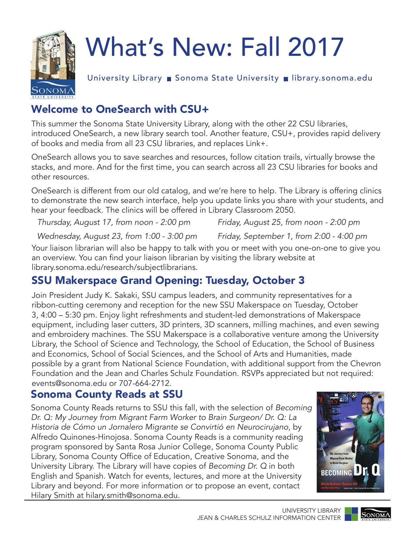

# What's New: Fall 2017

University Library ■ Sonoma State University ■ library.sonoma.edu

# Welcome to OneSearch with CSU+

This summer the Sonoma State University Library, along with the other 22 CSU libraries, introduced OneSearch, a new library search tool. Another feature, CSU+, provides rapid delivery of books and media from all 23 CSU libraries, and replaces Link+.

OneSearch allows you to save searches and resources, follow citation trails, virtually browse the stacks, and more. And for the first time, you can search across all 23 CSU libraries for books and other resources.

OneSearch is different from our old catalog, and we're here to help. The Library is offering clinics to demonstrate the new search interface, help you update links you share with your students, and hear your feedback. The clinics will be offered in Library Classroom 2050.

*Thursday, August 17, from noon - 2:00 pm Friday, August 25, from noon - 2:00 pm* 

*Wednesday, August 23, from 1:00 - 3:00 pm Friday, September 1, from 2:00 - 4:00 pm* 

Your liaison librarian will also be happy to talk with you or meet with you one-on-one to give you an overview. You can find your liaison librarian by visiting the library website at library.sonoma.edu/research/subjectlibrarians.

## SSU Makerspace Grand Opening: Tuesday, October 3

Join President Judy K. Sakaki, SSU campus leaders, and community representatives for a ribbon-cutting ceremony and reception for the new SSU Makerspace on Tuesday, October 3, 4:00 – 5:30 pm. Enjoy light refreshments and student-led demonstrations of Makerspace equipment, including laser cutters, 3D printers, 3D scanners, milling machines, and even sewing and embroidery machines. The SSU Makerspace is a collaborative venture among the University Library, the School of Science and Technology, the School of Education, the School of Business and Economics, School of Social Sciences, and the School of Arts and Humanities, made possible by a grant from National Science Foundation, with additional support from the Chevron Foundation and the Jean and Charles Schulz Foundation. RSVPs appreciated but not required: events@sonoma.edu or 707-664-2712.

## Sonoma County Reads at SSU

Sonoma County Reads returns to SSU this fall, with the selection of *Becoming Dr. Q: My Journey from Migrant Farm Worker to Brain Surgeon/ Dr. Q: La Historia de Cómo un Jornalero Migrante se Convirtió en Neurocirujano*, by Alfredo Quinones-Hinojosa. Sonoma County Reads is a community reading program sponsored by Santa Rosa Junior College, Sonoma County Public Library, Sonoma County Office of Education, Creative Sonoma, and the University Library. The Library will have copies of *Becoming Dr. Q* in both English and Spanish. Watch for events, lectures, and more at the University Library and beyond. For more information or to propose an event, contact Hilary Smith at hilary.smith@sonoma.edu.